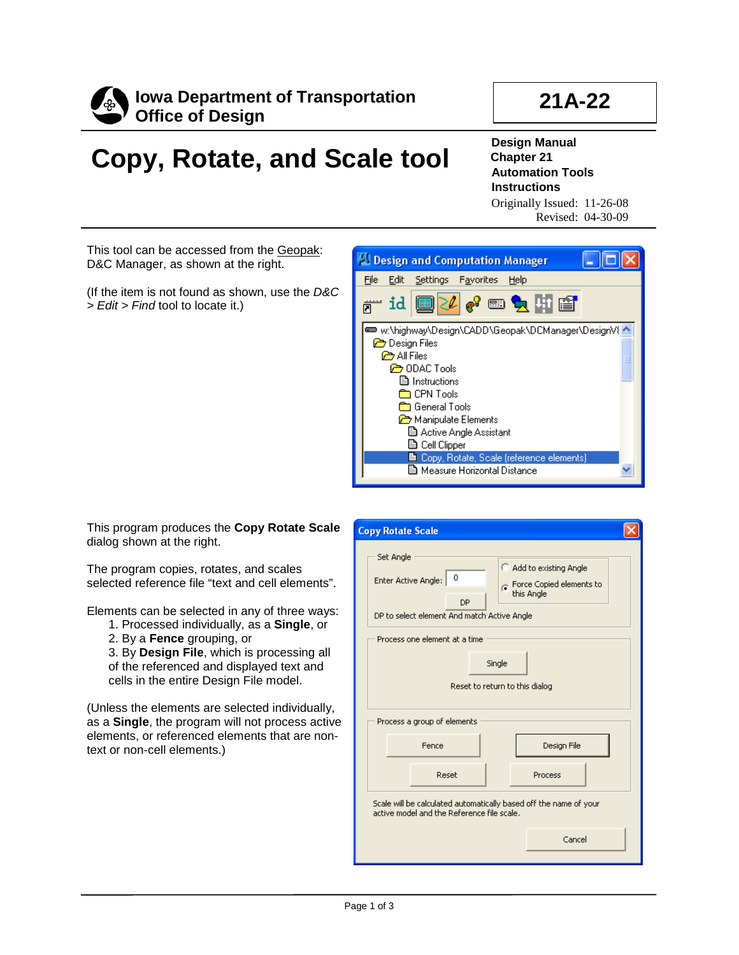

## **21A-22**

## **Copy, Rotate, and Scale tool**

**Design Manual Chapter 21 Automation Tools Instructions** Originally Issued: 11-26-08

Revised: 04-30-09

This tool can be accessed from the Geopak: D&C Manager, as shown at the right.

(If the item is not found as shown, use the *D&C > Edit > Find* tool to locate it.)



This program produces the **Copy Rotate Scale** dialog shown at the right.

The program copies, rotates, and scales selected reference file "text and cell elements".

Elements can be selected in any of three ways:

- 1. Processed individually, as a **Single**, or
- 2. By a **Fence** grouping, or

3. By **Design File**, which is processing all of the referenced and displayed text and cells in the entire Design File model.

(Unless the elements are selected individually, as a **Single**, the program will not process active elements, or referenced elements that are nontext or non-cell elements.)

|                                                                         | <b>Copy Rotate Scale</b>                                                                                                                                                                                |  |  |
|-------------------------------------------------------------------------|---------------------------------------------------------------------------------------------------------------------------------------------------------------------------------------------------------|--|--|
|                                                                         | Set Angle<br>Add to existing Angle<br>0<br>Enter Active Angle:<br>$\odot$ Force Copied elements to<br>this Angle<br>DP<br>DP to select element And match Active Angle<br>Process one element at a time. |  |  |
| Single<br>Reset to return to this dialog<br>Process a group of elements |                                                                                                                                                                                                         |  |  |
|                                                                         | Design File<br>Fence<br>Reset<br>Process                                                                                                                                                                |  |  |
|                                                                         | Scale will be calculated automatically based off the name of your<br>active model and the Reference file scale.<br>Cancel                                                                               |  |  |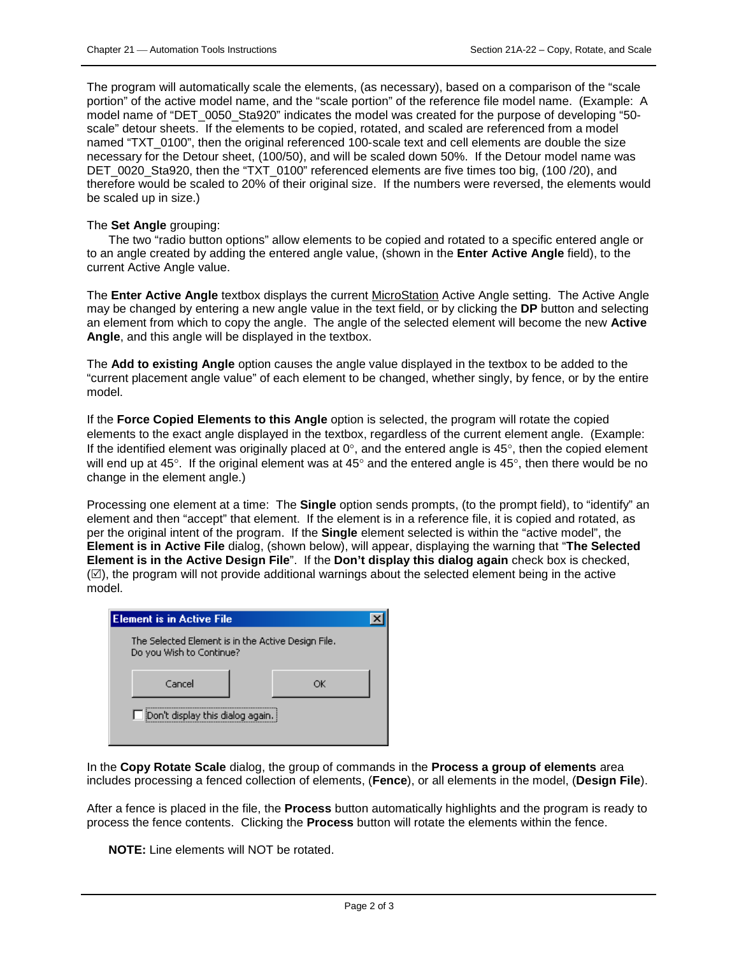The program will automatically scale the elements, (as necessary), based on a comparison of the "scale portion" of the active model name, and the "scale portion" of the reference file model name. (Example: A model name of "DET 0050 Sta920" indicates the model was created for the purpose of developing "50scale" detour sheets. If the elements to be copied, rotated, and scaled are referenced from a model named "TXT 0100", then the original referenced 100-scale text and cell elements are double the size necessary for the Detour sheet, (100/50), and will be scaled down 50%. If the Detour model name was DET 0020 Sta920, then the "TXT 0100" referenced elements are five times too big, (100 /20), and therefore would be scaled to 20% of their original size. If the numbers were reversed, the elements would be scaled up in size.)

## The **Set Angle** grouping:

The two "radio button options" allow elements to be copied and rotated to a specific entered angle or to an angle created by adding the entered angle value, (shown in the **Enter Active Angle** field), to the current Active Angle value.

The **Enter Active Angle** textbox displays the current MicroStation Active Angle setting. The Active Angle may be changed by entering a new angle value in the text field, or by clicking the **DP** button and selecting an element from which to copy the angle. The angle of the selected element will become the new **Active Angle**, and this angle will be displayed in the textbox.

The **Add to existing Angle** option causes the angle value displayed in the textbox to be added to the "current placement angle value" of each element to be changed, whether singly, by fence, or by the entire model.

If the **Force Copied Elements to this Angle** option is selected, the program will rotate the copied elements to the exact angle displayed in the textbox, regardless of the current element angle. (Example: If the identified element was originally placed at  $0^\circ$ , and the entered angle is  $45^\circ$ , then the copied element will end up at 45°. If the original element was at 45° and the entered angle is 45°, then there would be no change in the element angle.)

Processing one element at a time: The **Single** option sends prompts, (to the prompt field), to "identify" an element and then "accept" that element. If the element is in a reference file, it is copied and rotated, as per the original intent of the program. If the **Single** element selected is within the "active model", the **Element is in Active File** dialog, (shown below), will appear, displaying the warning that "**The Selected Element is in the Active Design File**". If the **Don't display this dialog again** check box is checked,  $(\mathbb{Z})$ , the program will not provide additional warnings about the selected element being in the active model.

| <b>Element is in Active File</b>                                               |    |  |  |
|--------------------------------------------------------------------------------|----|--|--|
| The Selected Element is in the Active Design File.<br>Do you Wish to Continue? |    |  |  |
| Cancel                                                                         | ОK |  |  |
| $\Box$ [Don't display this dialog again.]                                      |    |  |  |

In the **Copy Rotate Scale** dialog, the group of commands in the **Process a group of elements** area includes processing a fenced collection of elements, (**Fence**), or all elements in the model, (**Design File**).

After a fence is placed in the file, the **Process** button automatically highlights and the program is ready to process the fence contents. Clicking the **Process** button will rotate the elements within the fence.

**NOTE:** Line elements will NOT be rotated.